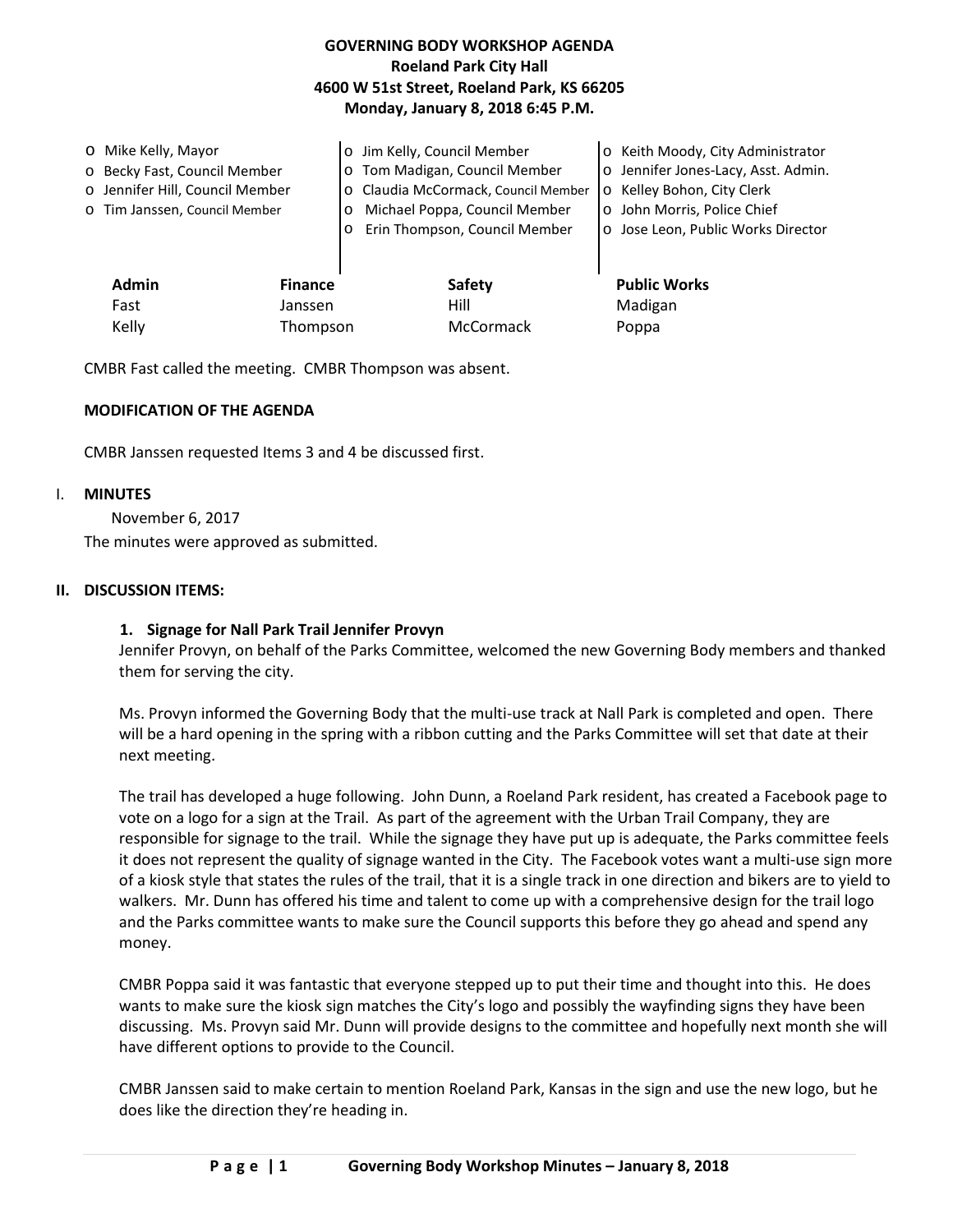# **GOVERNING BODY WORKSHOP AGENDA Roeland Park City Hall 4600 W 51st Street, Roeland Park, KS 66205 Monday, January 8, 2018 6:45 P.M.**

| O Mike Kelly, Mayor<br>o Becky Fast, Council Member<br>o Jennifer Hill, Council Member<br>o Tim Janssen, Council Member |                           | Jim Kelly, Council Member<br>o Tom Madigan, Council Member<br>O Claudia McCormack, Council Member<br>Michael Poppa, Council Member<br>Erin Thompson, Council Member | o Keith Moody, City Administrator<br>o Jennifer Jones-Lacy, Asst. Admin.<br>o Kelley Bohon, City Clerk<br>o John Morris, Police Chief<br>o Jose Leon, Public Works Director |
|-------------------------------------------------------------------------------------------------------------------------|---------------------------|---------------------------------------------------------------------------------------------------------------------------------------------------------------------|-----------------------------------------------------------------------------------------------------------------------------------------------------------------------------|
| <b>Admin</b><br>Fast                                                                                                    | <b>Finance</b><br>Janssen | <b>Safety</b><br>Hill                                                                                                                                               | <b>Public Works</b><br>Madigan                                                                                                                                              |
| Kelly                                                                                                                   | Thompson                  | McCormack                                                                                                                                                           | Poppa                                                                                                                                                                       |

CMBR Fast called the meeting. CMBR Thompson was absent.

## **MODIFICATION OF THE AGENDA**

CMBR Janssen requested Items 3 and 4 be discussed first.

### I. **MINUTES**

November 6, 2017 The minutes were approved as submitted.

### **II. DISCUSSION ITEMS:**

## **1. Signage for Nall Park Trail Jennifer Provyn**

Jennifer Provyn, on behalf of the Parks Committee, welcomed the new Governing Body members and thanked them for serving the city.

Ms. Provyn informed the Governing Body that the multi-use track at Nall Park is completed and open. There will be a hard opening in the spring with a ribbon cutting and the Parks Committee will set that date at their next meeting.

The trail has developed a huge following. John Dunn, a Roeland Park resident, has created a Facebook page to vote on a logo for a sign at the Trail. As part of the agreement with the Urban Trail Company, they are responsible for signage to the trail. While the signage they have put up is adequate, the Parks committee feels it does not represent the quality of signage wanted in the City. The Facebook votes want a multi-use sign more of a kiosk style that states the rules of the trail, that it is a single track in one direction and bikers are to yield to walkers. Mr. Dunn has offered his time and talent to come up with a comprehensive design for the trail logo and the Parks committee wants to make sure the Council supports this before they go ahead and spend any money.

CMBR Poppa said it was fantastic that everyone stepped up to put their time and thought into this. He does wants to make sure the kiosk sign matches the City's logo and possibly the wayfinding signs they have been discussing. Ms. Provyn said Mr. Dunn will provide designs to the committee and hopefully next month she will have different options to provide to the Council.

CMBR Janssen said to make certain to mention Roeland Park, Kansas in the sign and use the new logo, but he does like the direction they're heading in.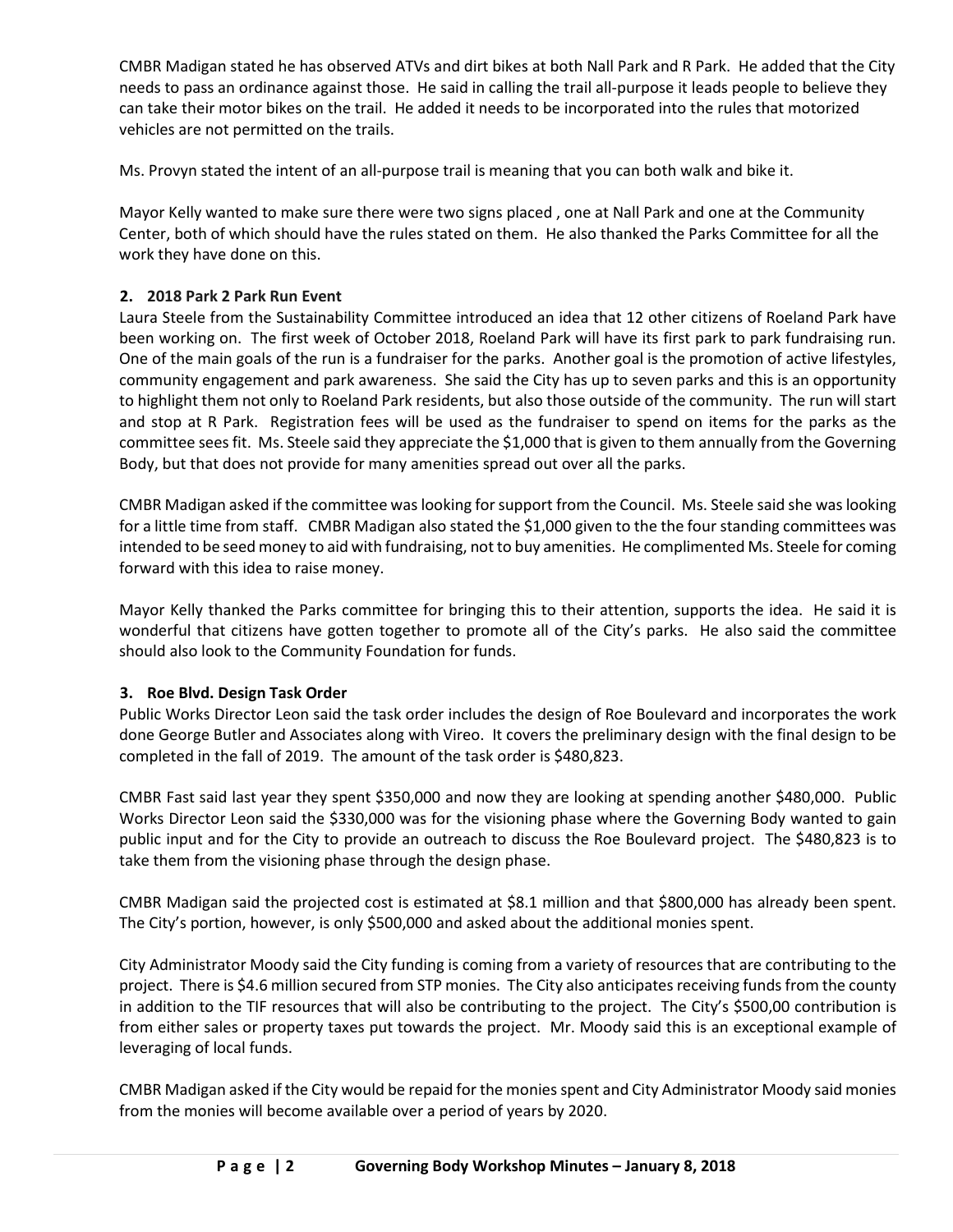CMBR Madigan stated he has observed ATVs and dirt bikes at both Nall Park and R Park. He added that the City needs to pass an ordinance against those. He said in calling the trail all-purpose it leads people to believe they can take their motor bikes on the trail. He added it needs to be incorporated into the rules that motorized vehicles are not permitted on the trails.

Ms. Provyn stated the intent of an all-purpose trail is meaning that you can both walk and bike it.

Mayor Kelly wanted to make sure there were two signs placed , one at Nall Park and one at the Community Center, both of which should have the rules stated on them. He also thanked the Parks Committee for all the work they have done on this.

# **2. 2018 Park 2 Park Run Event**

Laura Steele from the Sustainability Committee introduced an idea that 12 other citizens of Roeland Park have been working on. The first week of October 2018, Roeland Park will have its first park to park fundraising run. One of the main goals of the run is a fundraiser for the parks. Another goal is the promotion of active lifestyles, community engagement and park awareness. She said the City has up to seven parks and this is an opportunity to highlight them not only to Roeland Park residents, but also those outside of the community. The run will start and stop at R Park. Registration fees will be used as the fundraiser to spend on items for the parks as the committee sees fit. Ms. Steele said they appreciate the \$1,000 that is given to them annually from the Governing Body, but that does not provide for many amenities spread out over all the parks.

CMBR Madigan asked if the committee was looking for support from the Council. Ms. Steele said she was looking for a little time from staff. CMBR Madigan also stated the \$1,000 given to the the four standing committees was intended to be seed money to aid with fundraising, not to buy amenities. He complimented Ms. Steele for coming forward with this idea to raise money.

Mayor Kelly thanked the Parks committee for bringing this to their attention, supports the idea. He said it is wonderful that citizens have gotten together to promote all of the City's parks. He also said the committee should also look to the Community Foundation for funds.

# **3. Roe Blvd. Design Task Order**

Public Works Director Leon said the task order includes the design of Roe Boulevard and incorporates the work done George Butler and Associates along with Vireo. It covers the preliminary design with the final design to be completed in the fall of 2019. The amount of the task order is \$480,823.

CMBR Fast said last year they spent \$350,000 and now they are looking at spending another \$480,000. Public Works Director Leon said the \$330,000 was for the visioning phase where the Governing Body wanted to gain public input and for the City to provide an outreach to discuss the Roe Boulevard project. The \$480,823 is to take them from the visioning phase through the design phase.

CMBR Madigan said the projected cost is estimated at \$8.1 million and that \$800,000 has already been spent. The City's portion, however, is only \$500,000 and asked about the additional monies spent.

City Administrator Moody said the City funding is coming from a variety of resources that are contributing to the project. There is \$4.6 million secured from STP monies. The City also anticipates receiving funds from the county in addition to the TIF resources that will also be contributing to the project. The City's \$500,00 contribution is from either sales or property taxes put towards the project. Mr. Moody said this is an exceptional example of leveraging of local funds.

CMBR Madigan asked if the City would be repaid for the monies spent and City Administrator Moody said monies from the monies will become available over a period of years by 2020.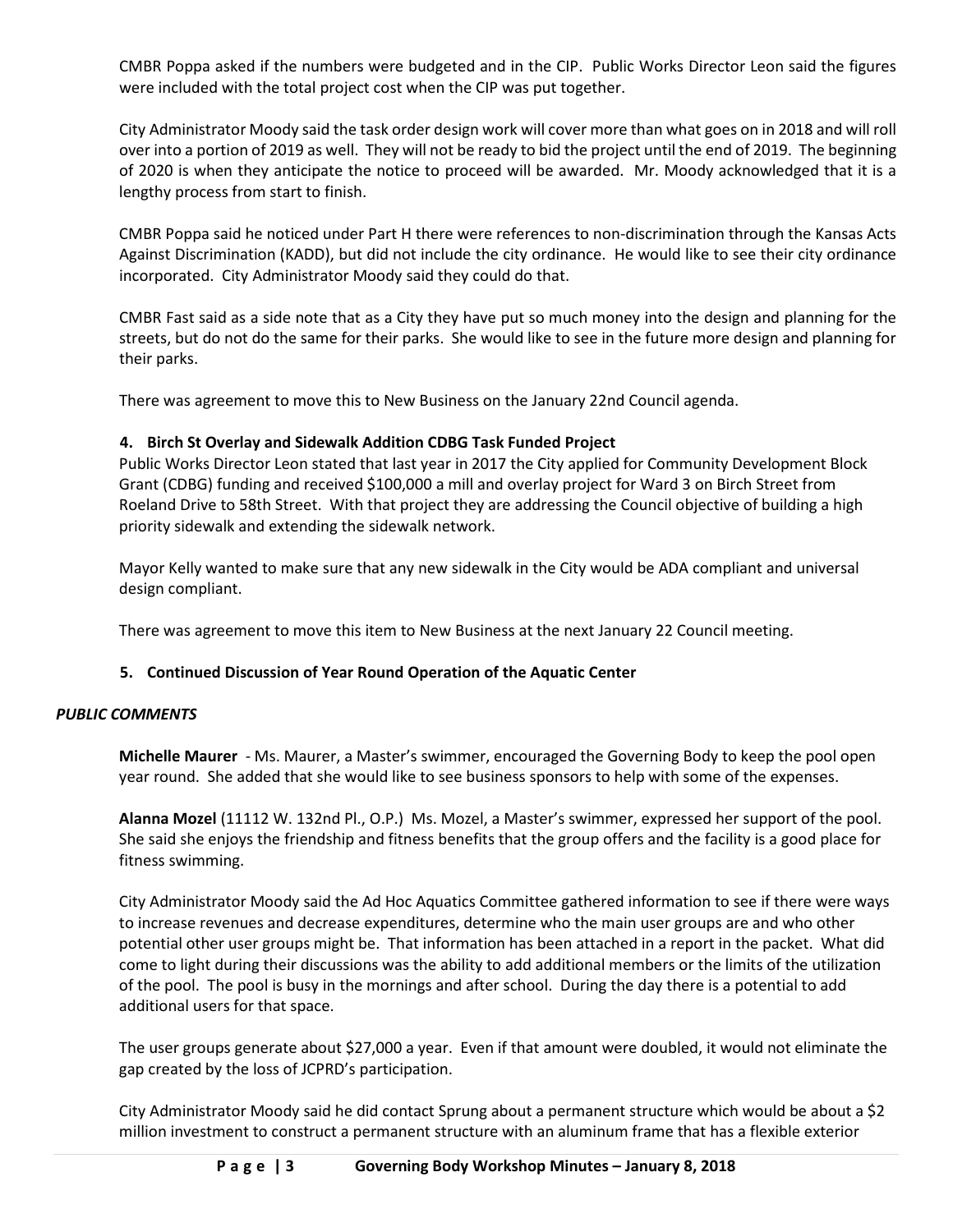CMBR Poppa asked if the numbers were budgeted and in the CIP. Public Works Director Leon said the figures were included with the total project cost when the CIP was put together.

City Administrator Moody said the task order design work will cover more than what goes on in 2018 and will roll over into a portion of 2019 as well. They will not be ready to bid the project until the end of 2019. The beginning of 2020 is when they anticipate the notice to proceed will be awarded. Mr. Moody acknowledged that it is a lengthy process from start to finish.

CMBR Poppa said he noticed under Part H there were references to non-discrimination through the Kansas Acts Against Discrimination (KADD), but did not include the city ordinance. He would like to see their city ordinance incorporated. City Administrator Moody said they could do that.

CMBR Fast said as a side note that as a City they have put so much money into the design and planning for the streets, but do not do the same for their parks. She would like to see in the future more design and planning for their parks.

There was agreement to move this to New Business on the January 22nd Council agenda.

# **4. Birch St Overlay and Sidewalk Addition CDBG Task Funded Project**

Public Works Director Leon stated that last year in 2017 the City applied for Community Development Block Grant (CDBG) funding and received \$100,000 a mill and overlay project for Ward 3 on Birch Street from Roeland Drive to 58th Street. With that project they are addressing the Council objective of building a high priority sidewalk and extending the sidewalk network.

Mayor Kelly wanted to make sure that any new sidewalk in the City would be ADA compliant and universal design compliant.

There was agreement to move this item to New Business at the next January 22 Council meeting.

# **5. Continued Discussion of Year Round Operation of the Aquatic Center**

## *PUBLIC COMMENTS*

**Michelle Maurer** - Ms. Maurer, a Master's swimmer, encouraged the Governing Body to keep the pool open year round. She added that she would like to see business sponsors to help with some of the expenses.

**Alanna Mozel** (11112 W. 132nd Pl., O.P.) Ms. Mozel, a Master's swimmer, expressed her support of the pool. She said she enjoys the friendship and fitness benefits that the group offers and the facility is a good place for fitness swimming.

City Administrator Moody said the Ad Hoc Aquatics Committee gathered information to see if there were ways to increase revenues and decrease expenditures, determine who the main user groups are and who other potential other user groups might be. That information has been attached in a report in the packet. What did come to light during their discussions was the ability to add additional members or the limits of the utilization of the pool. The pool is busy in the mornings and after school. During the day there is a potential to add additional users for that space.

The user groups generate about \$27,000 a year. Even if that amount were doubled, it would not eliminate the gap created by the loss of JCPRD's participation.

City Administrator Moody said he did contact Sprung about a permanent structure which would be about a \$2 million investment to construct a permanent structure with an aluminum frame that has a flexible exterior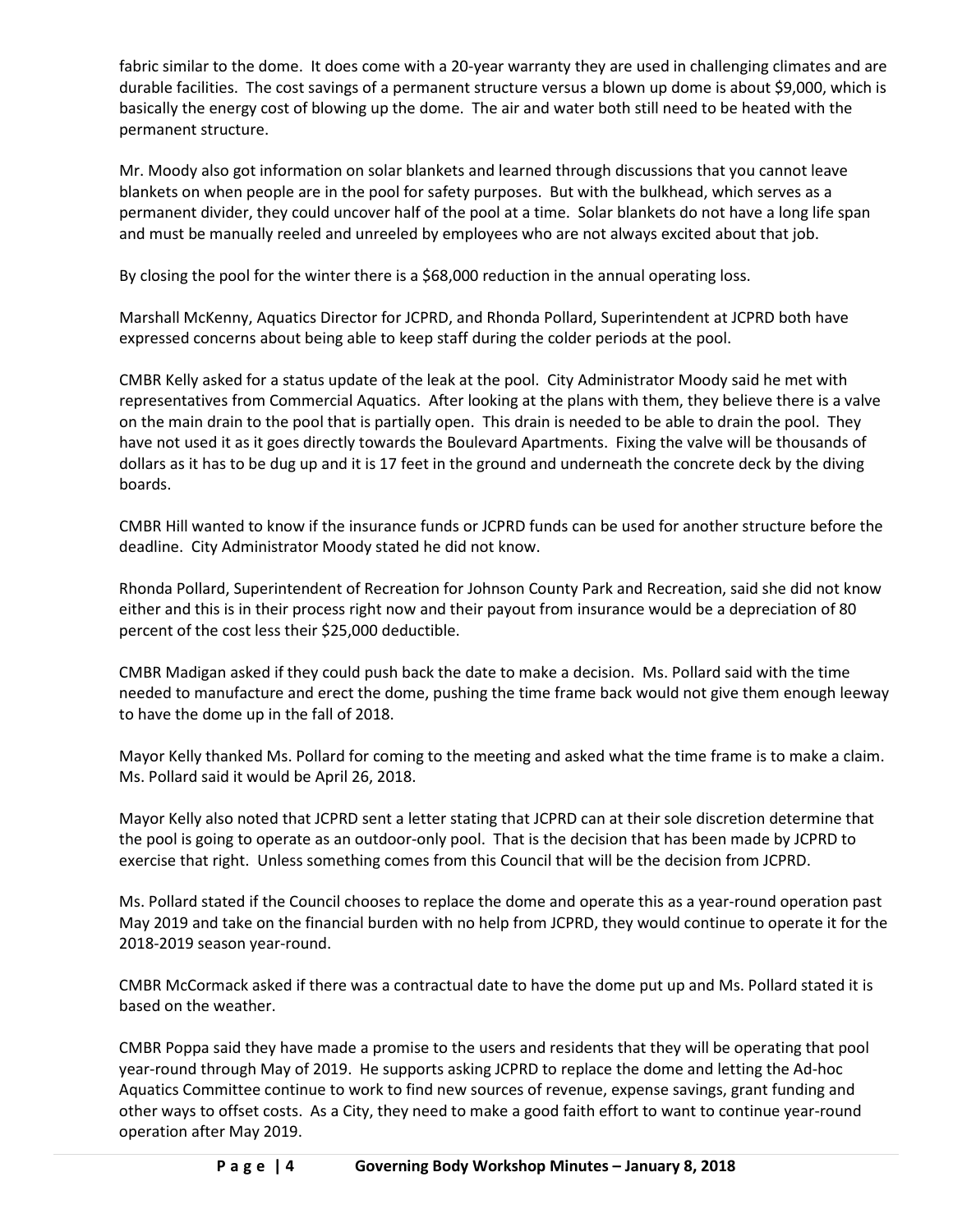fabric similar to the dome. It does come with a 20-year warranty they are used in challenging climates and are durable facilities. The cost savings of a permanent structure versus a blown up dome is about \$9,000, which is basically the energy cost of blowing up the dome. The air and water both still need to be heated with the permanent structure.

Mr. Moody also got information on solar blankets and learned through discussions that you cannot leave blankets on when people are in the pool for safety purposes. But with the bulkhead, which serves as a permanent divider, they could uncover half of the pool at a time. Solar blankets do not have a long life span and must be manually reeled and unreeled by employees who are not always excited about that job.

By closing the pool for the winter there is a \$68,000 reduction in the annual operating loss.

Marshall McKenny, Aquatics Director for JCPRD, and Rhonda Pollard, Superintendent at JCPRD both have expressed concerns about being able to keep staff during the colder periods at the pool.

CMBR Kelly asked for a status update of the leak at the pool. City Administrator Moody said he met with representatives from Commercial Aquatics. After looking at the plans with them, they believe there is a valve on the main drain to the pool that is partially open. This drain is needed to be able to drain the pool. They have not used it as it goes directly towards the Boulevard Apartments. Fixing the valve will be thousands of dollars as it has to be dug up and it is 17 feet in the ground and underneath the concrete deck by the diving boards.

CMBR Hill wanted to know if the insurance funds or JCPRD funds can be used for another structure before the deadline. City Administrator Moody stated he did not know.

Rhonda Pollard, Superintendent of Recreation for Johnson County Park and Recreation, said she did not know either and this is in their process right now and their payout from insurance would be a depreciation of 80 percent of the cost less their \$25,000 deductible.

CMBR Madigan asked if they could push back the date to make a decision. Ms. Pollard said with the time needed to manufacture and erect the dome, pushing the time frame back would not give them enough leeway to have the dome up in the fall of 2018.

Mayor Kelly thanked Ms. Pollard for coming to the meeting and asked what the time frame is to make a claim. Ms. Pollard said it would be April 26, 2018.

Mayor Kelly also noted that JCPRD sent a letter stating that JCPRD can at their sole discretion determine that the pool is going to operate as an outdoor-only pool. That is the decision that has been made by JCPRD to exercise that right. Unless something comes from this Council that will be the decision from JCPRD.

Ms. Pollard stated if the Council chooses to replace the dome and operate this as a year-round operation past May 2019 and take on the financial burden with no help from JCPRD, they would continue to operate it for the 2018-2019 season year-round.

CMBR McCormack asked if there was a contractual date to have the dome put up and Ms. Pollard stated it is based on the weather.

CMBR Poppa said they have made a promise to the users and residents that they will be operating that pool year-round through May of 2019. He supports asking JCPRD to replace the dome and letting the Ad-hoc Aquatics Committee continue to work to find new sources of revenue, expense savings, grant funding and other ways to offset costs. As a City, they need to make a good faith effort to want to continue year-round operation after May 2019.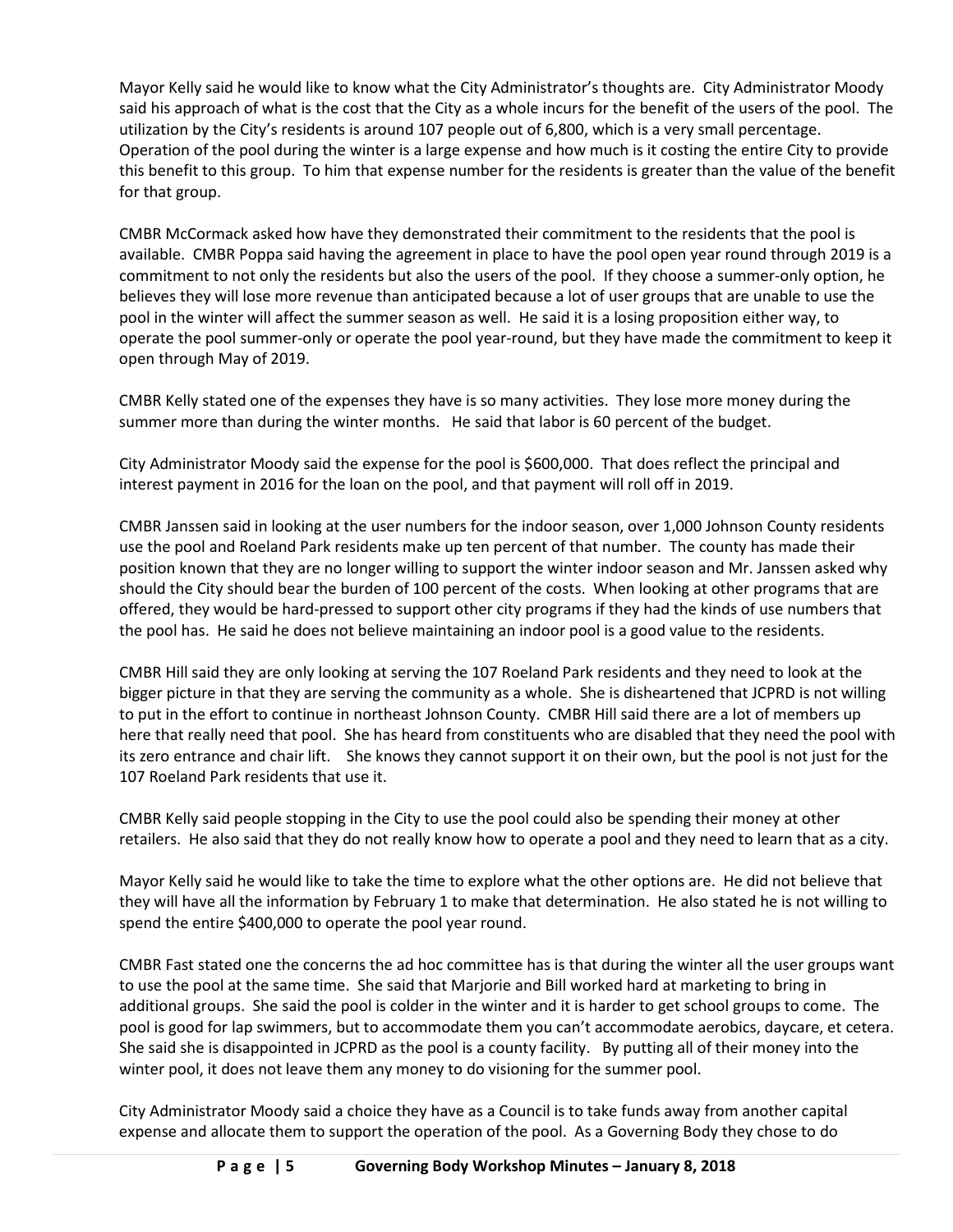Mayor Kelly said he would like to know what the City Administrator's thoughts are. City Administrator Moody said his approach of what is the cost that the City as a whole incurs for the benefit of the users of the pool. The utilization by the City's residents is around 107 people out of 6,800, which is a very small percentage. Operation of the pool during the winter is a large expense and how much is it costing the entire City to provide this benefit to this group. To him that expense number for the residents is greater than the value of the benefit for that group.

CMBR McCormack asked how have they demonstrated their commitment to the residents that the pool is available. CMBR Poppa said having the agreement in place to have the pool open year round through 2019 is a commitment to not only the residents but also the users of the pool. If they choose a summer-only option, he believes they will lose more revenue than anticipated because a lot of user groups that are unable to use the pool in the winter will affect the summer season as well. He said it is a losing proposition either way, to operate the pool summer-only or operate the pool year-round, but they have made the commitment to keep it open through May of 2019.

CMBR Kelly stated one of the expenses they have is so many activities. They lose more money during the summer more than during the winter months. He said that labor is 60 percent of the budget.

City Administrator Moody said the expense for the pool is \$600,000. That does reflect the principal and interest payment in 2016 for the loan on the pool, and that payment will roll off in 2019.

CMBR Janssen said in looking at the user numbers for the indoor season, over 1,000 Johnson County residents use the pool and Roeland Park residents make up ten percent of that number. The county has made their position known that they are no longer willing to support the winter indoor season and Mr. Janssen asked why should the City should bear the burden of 100 percent of the costs. When looking at other programs that are offered, they would be hard-pressed to support other city programs if they had the kinds of use numbers that the pool has. He said he does not believe maintaining an indoor pool is a good value to the residents.

CMBR Hill said they are only looking at serving the 107 Roeland Park residents and they need to look at the bigger picture in that they are serving the community as a whole. She is disheartened that JCPRD is not willing to put in the effort to continue in northeast Johnson County. CMBR Hill said there are a lot of members up here that really need that pool. She has heard from constituents who are disabled that they need the pool with its zero entrance and chair lift. She knows they cannot support it on their own, but the pool is not just for the 107 Roeland Park residents that use it.

CMBR Kelly said people stopping in the City to use the pool could also be spending their money at other retailers. He also said that they do not really know how to operate a pool and they need to learn that as a city.

Mayor Kelly said he would like to take the time to explore what the other options are. He did not believe that they will have all the information by February 1 to make that determination. He also stated he is not willing to spend the entire \$400,000 to operate the pool year round.

CMBR Fast stated one the concerns the ad hoc committee has is that during the winter all the user groups want to use the pool at the same time. She said that Marjorie and Bill worked hard at marketing to bring in additional groups. She said the pool is colder in the winter and it is harder to get school groups to come. The pool is good for lap swimmers, but to accommodate them you can't accommodate aerobics, daycare, et cetera. She said she is disappointed in JCPRD as the pool is a county facility. By putting all of their money into the winter pool, it does not leave them any money to do visioning for the summer pool.

City Administrator Moody said a choice they have as a Council is to take funds away from another capital expense and allocate them to support the operation of the pool. As a Governing Body they chose to do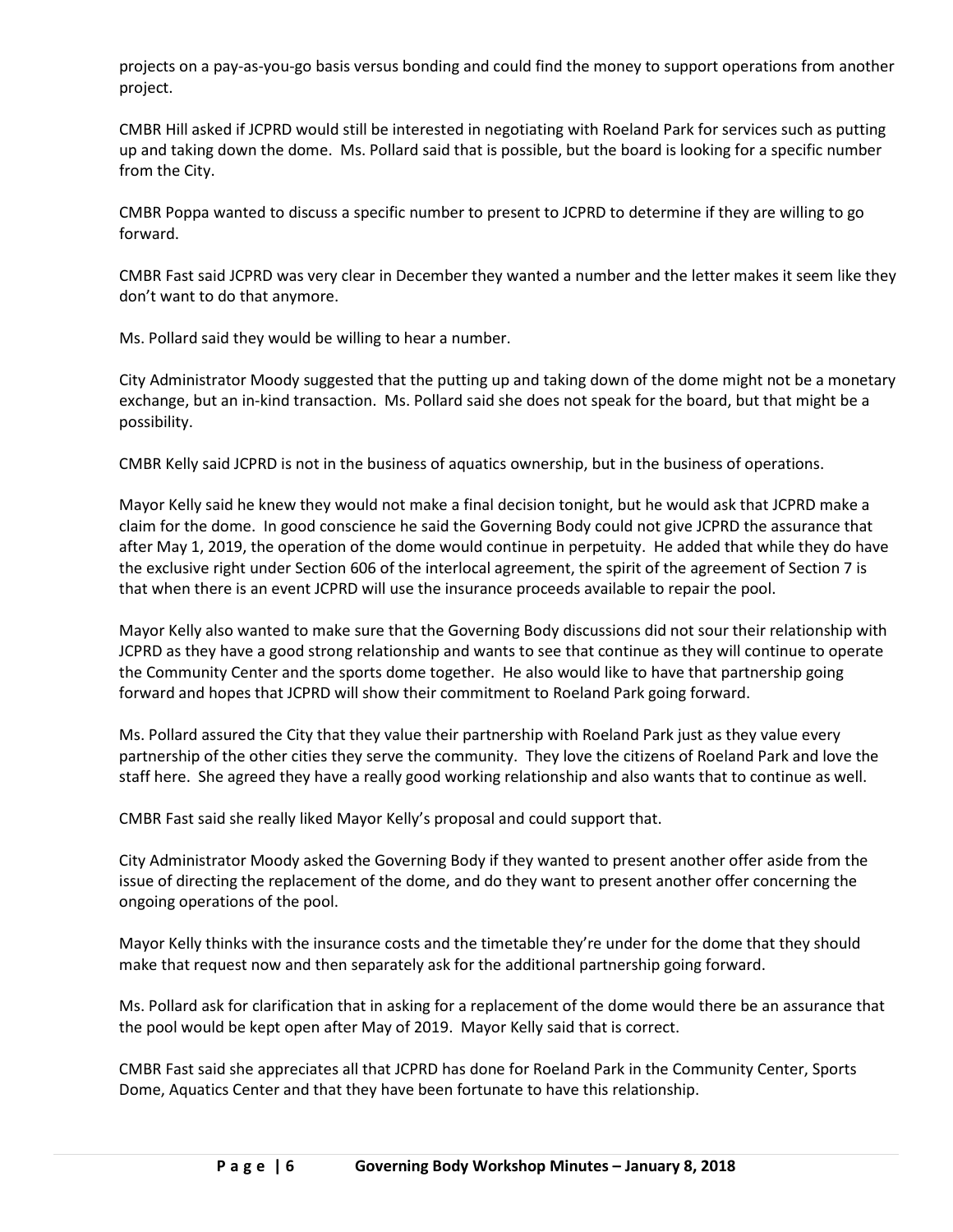projects on a pay-as-you-go basis versus bonding and could find the money to support operations from another project.

CMBR Hill asked if JCPRD would still be interested in negotiating with Roeland Park for services such as putting up and taking down the dome. Ms. Pollard said that is possible, but the board is looking for a specific number from the City.

CMBR Poppa wanted to discuss a specific number to present to JCPRD to determine if they are willing to go forward.

CMBR Fast said JCPRD was very clear in December they wanted a number and the letter makes it seem like they don't want to do that anymore.

Ms. Pollard said they would be willing to hear a number.

City Administrator Moody suggested that the putting up and taking down of the dome might not be a monetary exchange, but an in-kind transaction. Ms. Pollard said she does not speak for the board, but that might be a possibility.

CMBR Kelly said JCPRD is not in the business of aquatics ownership, but in the business of operations.

Mayor Kelly said he knew they would not make a final decision tonight, but he would ask that JCPRD make a claim for the dome. In good conscience he said the Governing Body could not give JCPRD the assurance that after May 1, 2019, the operation of the dome would continue in perpetuity. He added that while they do have the exclusive right under Section 606 of the interlocal agreement, the spirit of the agreement of Section 7 is that when there is an event JCPRD will use the insurance proceeds available to repair the pool.

Mayor Kelly also wanted to make sure that the Governing Body discussions did not sour their relationship with JCPRD as they have a good strong relationship and wants to see that continue as they will continue to operate the Community Center and the sports dome together. He also would like to have that partnership going forward and hopes that JCPRD will show their commitment to Roeland Park going forward.

Ms. Pollard assured the City that they value their partnership with Roeland Park just as they value every partnership of the other cities they serve the community. They love the citizens of Roeland Park and love the staff here. She agreed they have a really good working relationship and also wants that to continue as well.

CMBR Fast said she really liked Mayor Kelly's proposal and could support that.

City Administrator Moody asked the Governing Body if they wanted to present another offer aside from the issue of directing the replacement of the dome, and do they want to present another offer concerning the ongoing operations of the pool.

Mayor Kelly thinks with the insurance costs and the timetable they're under for the dome that they should make that request now and then separately ask for the additional partnership going forward.

Ms. Pollard ask for clarification that in asking for a replacement of the dome would there be an assurance that the pool would be kept open after May of 2019. Mayor Kelly said that is correct.

CMBR Fast said she appreciates all that JCPRD has done for Roeland Park in the Community Center, Sports Dome, Aquatics Center and that they have been fortunate to have this relationship.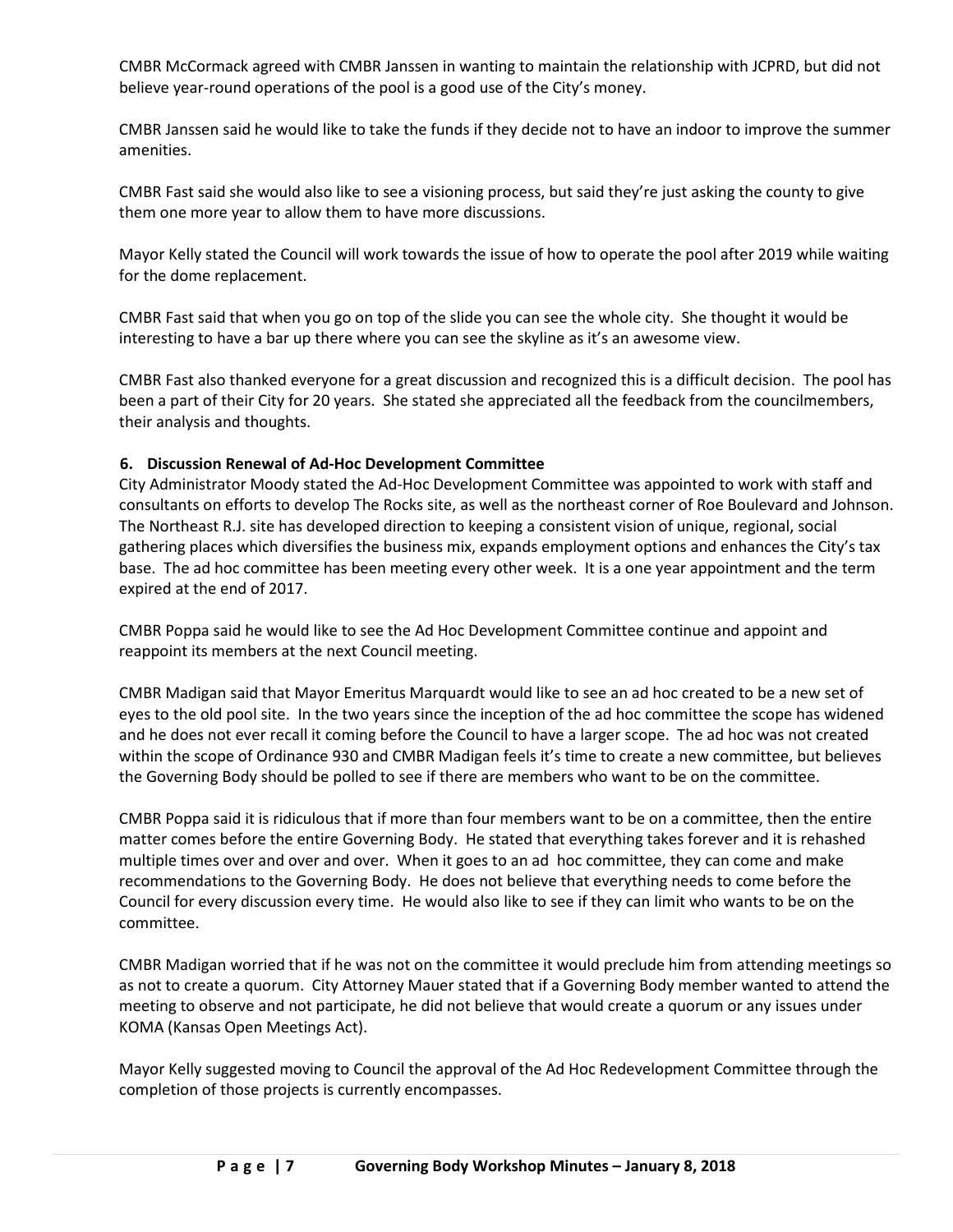CMBR McCormack agreed with CMBR Janssen in wanting to maintain the relationship with JCPRD, but did not believe year-round operations of the pool is a good use of the City's money.

CMBR Janssen said he would like to take the funds if they decide not to have an indoor to improve the summer amenities.

CMBR Fast said she would also like to see a visioning process, but said they're just asking the county to give them one more year to allow them to have more discussions.

Mayor Kelly stated the Council will work towards the issue of how to operate the pool after 2019 while waiting for the dome replacement.

CMBR Fast said that when you go on top of the slide you can see the whole city. She thought it would be interesting to have a bar up there where you can see the skyline as it's an awesome view.

CMBR Fast also thanked everyone for a great discussion and recognized this is a difficult decision. The pool has been a part of their City for 20 years. She stated she appreciated all the feedback from the councilmembers, their analysis and thoughts.

# **6. Discussion Renewal of Ad-Hoc Development Committee**

City Administrator Moody stated the Ad-Hoc Development Committee was appointed to work with staff and consultants on efforts to develop The Rocks site, as well as the northeast corner of Roe Boulevard and Johnson. The Northeast R.J. site has developed direction to keeping a consistent vision of unique, regional, social gathering places which diversifies the business mix, expands employment options and enhances the City's tax base. The ad hoc committee has been meeting every other week. It is a one year appointment and the term expired at the end of 2017.

CMBR Poppa said he would like to see the Ad Hoc Development Committee continue and appoint and reappoint its members at the next Council meeting.

CMBR Madigan said that Mayor Emeritus Marquardt would like to see an ad hoc created to be a new set of eyes to the old pool site. In the two years since the inception of the ad hoc committee the scope has widened and he does not ever recall it coming before the Council to have a larger scope. The ad hoc was not created within the scope of Ordinance 930 and CMBR Madigan feels it's time to create a new committee, but believes the Governing Body should be polled to see if there are members who want to be on the committee.

CMBR Poppa said it is ridiculous that if more than four members want to be on a committee, then the entire matter comes before the entire Governing Body. He stated that everything takes forever and it is rehashed multiple times over and over and over. When it goes to an ad hoc committee, they can come and make recommendations to the Governing Body. He does not believe that everything needs to come before the Council for every discussion every time. He would also like to see if they can limit who wants to be on the committee.

CMBR Madigan worried that if he was not on the committee it would preclude him from attending meetings so as not to create a quorum. City Attorney Mauer stated that if a Governing Body member wanted to attend the meeting to observe and not participate, he did not believe that would create a quorum or any issues under KOMA (Kansas Open Meetings Act).

Mayor Kelly suggested moving to Council the approval of the Ad Hoc Redevelopment Committee through the completion of those projects is currently encompasses.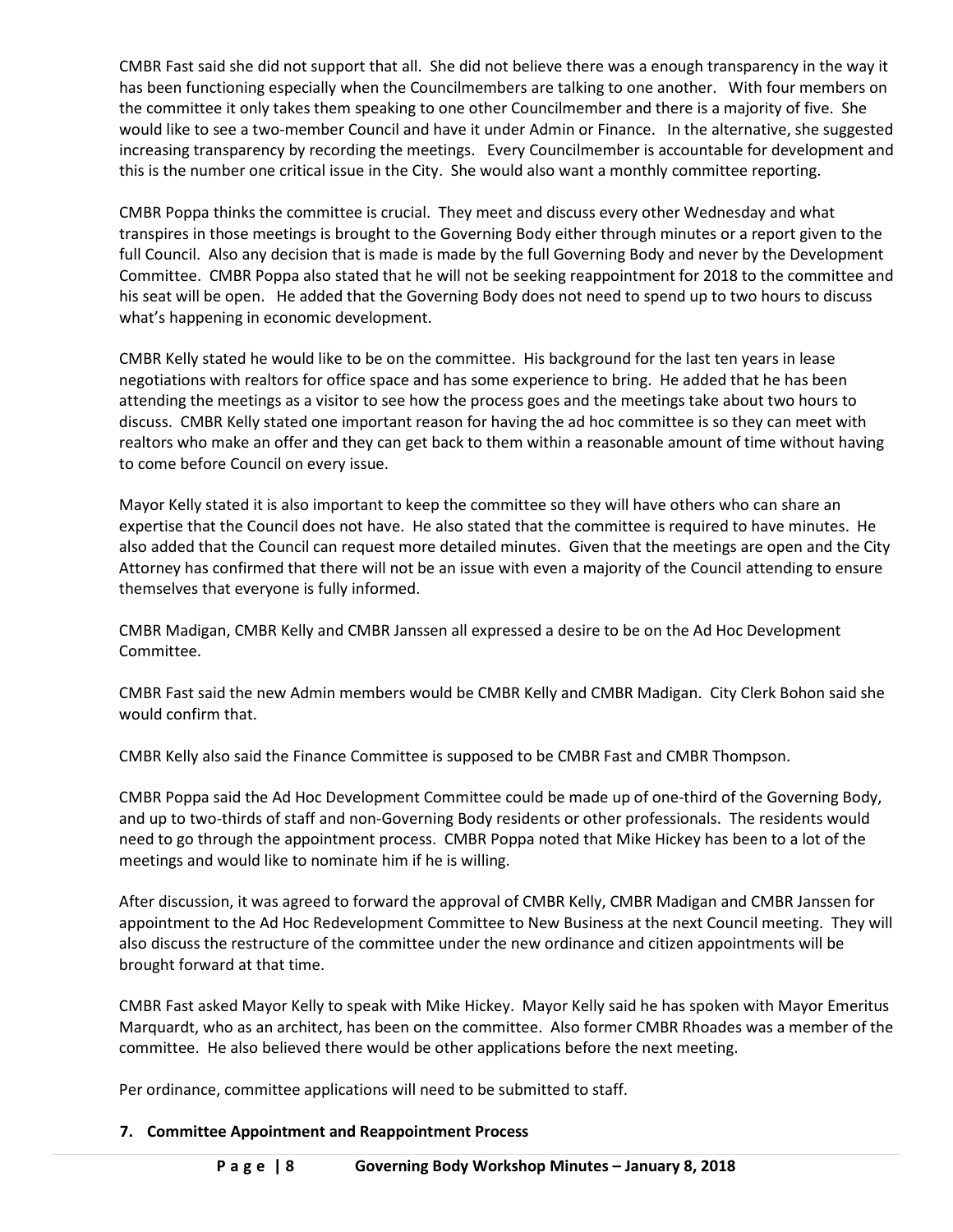CMBR Fast said she did not support that all. She did not believe there was a enough transparency in the way it has been functioning especially when the Councilmembers are talking to one another. With four members on the committee it only takes them speaking to one other Councilmember and there is a majority of five. She would like to see a two-member Council and have it under Admin or Finance. In the alternative, she suggested increasing transparency by recording the meetings. Every Councilmember is accountable for development and this is the number one critical issue in the City. She would also want a monthly committee reporting.

CMBR Poppa thinks the committee is crucial. They meet and discuss every other Wednesday and what transpires in those meetings is brought to the Governing Body either through minutes or a report given to the full Council. Also any decision that is made is made by the full Governing Body and never by the Development Committee. CMBR Poppa also stated that he will not be seeking reappointment for 2018 to the committee and his seat will be open. He added that the Governing Body does not need to spend up to two hours to discuss what's happening in economic development.

CMBR Kelly stated he would like to be on the committee. His background for the last ten years in lease negotiations with realtors for office space and has some experience to bring. He added that he has been attending the meetings as a visitor to see how the process goes and the meetings take about two hours to discuss. CMBR Kelly stated one important reason for having the ad hoc committee is so they can meet with realtors who make an offer and they can get back to them within a reasonable amount of time without having to come before Council on every issue.

Mayor Kelly stated it is also important to keep the committee so they will have others who can share an expertise that the Council does not have. He also stated that the committee is required to have minutes. He also added that the Council can request more detailed minutes. Given that the meetings are open and the City Attorney has confirmed that there will not be an issue with even a majority of the Council attending to ensure themselves that everyone is fully informed.

CMBR Madigan, CMBR Kelly and CMBR Janssen all expressed a desire to be on the Ad Hoc Development Committee.

CMBR Fast said the new Admin members would be CMBR Kelly and CMBR Madigan. City Clerk Bohon said she would confirm that.

CMBR Kelly also said the Finance Committee is supposed to be CMBR Fast and CMBR Thompson.

CMBR Poppa said the Ad Hoc Development Committee could be made up of one-third of the Governing Body, and up to two-thirds of staff and non-Governing Body residents or other professionals. The residents would need to go through the appointment process. CMBR Poppa noted that Mike Hickey has been to a lot of the meetings and would like to nominate him if he is willing.

After discussion, it was agreed to forward the approval of CMBR Kelly, CMBR Madigan and CMBR Janssen for appointment to the Ad Hoc Redevelopment Committee to New Business at the next Council meeting. They will also discuss the restructure of the committee under the new ordinance and citizen appointments will be brought forward at that time.

CMBR Fast asked Mayor Kelly to speak with Mike Hickey. Mayor Kelly said he has spoken with Mayor Emeritus Marquardt, who as an architect, has been on the committee. Also former CMBR Rhoades was a member of the committee. He also believed there would be other applications before the next meeting.

Per ordinance, committee applications will need to be submitted to staff.

# **7. Committee Appointment and Reappointment Process**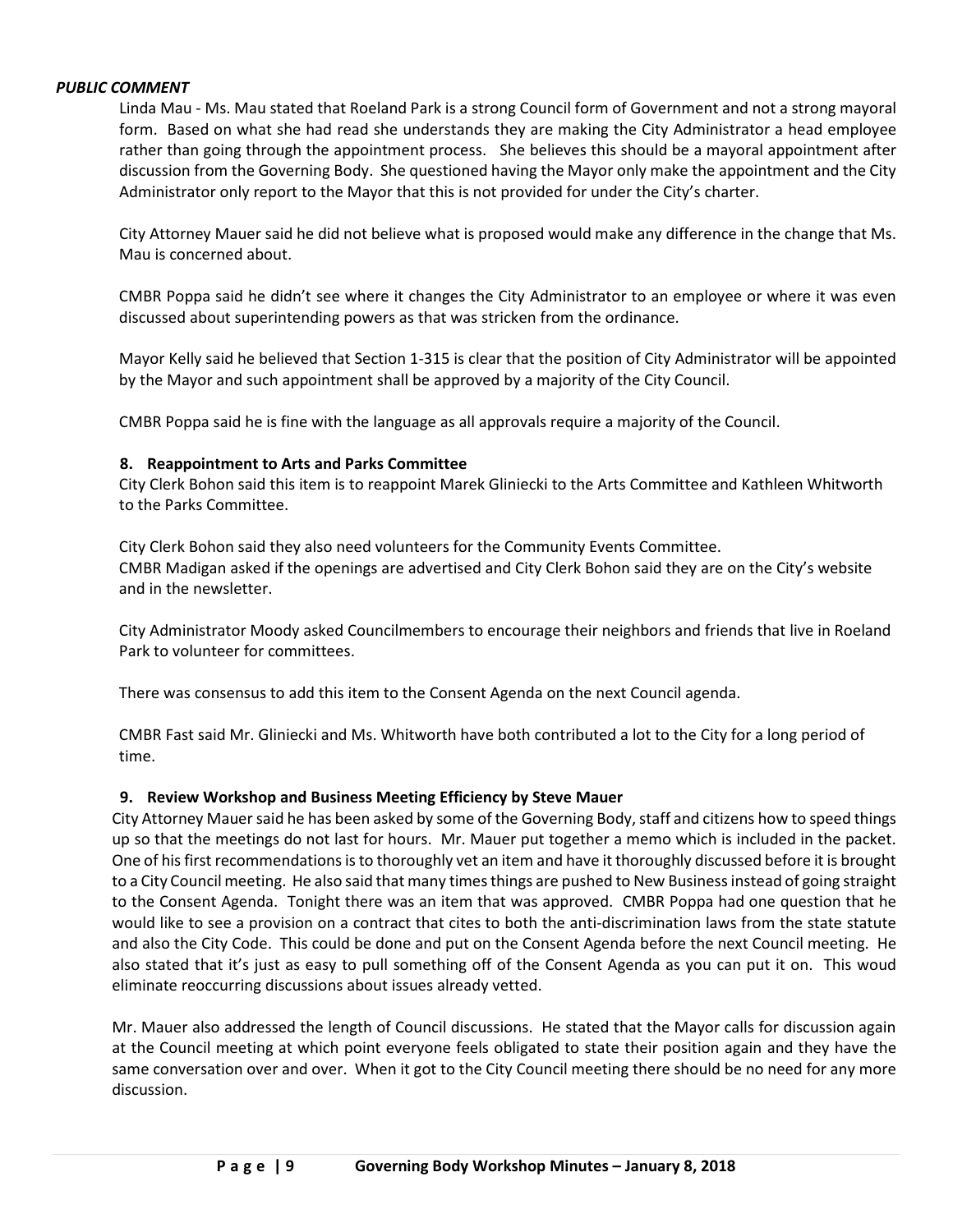### *PUBLIC COMMENT*

Linda Mau - Ms. Mau stated that Roeland Park is a strong Council form of Government and not a strong mayoral form. Based on what she had read she understands they are making the City Administrator a head employee rather than going through the appointment process. She believes this should be a mayoral appointment after discussion from the Governing Body. She questioned having the Mayor only make the appointment and the City Administrator only report to the Mayor that this is not provided for under the City's charter.

City Attorney Mauer said he did not believe what is proposed would make any difference in the change that Ms. Mau is concerned about.

CMBR Poppa said he didn't see where it changes the City Administrator to an employee or where it was even discussed about superintending powers as that was stricken from the ordinance.

Mayor Kelly said he believed that Section 1-315 is clear that the position of City Administrator will be appointed by the Mayor and such appointment shall be approved by a majority of the City Council.

CMBR Poppa said he is fine with the language as all approvals require a majority of the Council.

### **8. Reappointment to Arts and Parks Committee**

City Clerk Bohon said this item is to reappoint Marek Gliniecki to the Arts Committee and Kathleen Whitworth to the Parks Committee.

City Clerk Bohon said they also need volunteers for the Community Events Committee. CMBR Madigan asked if the openings are advertised and City Clerk Bohon said they are on the City's website and in the newsletter.

City Administrator Moody asked Councilmembers to encourage their neighbors and friends that live in Roeland Park to volunteer for committees.

There was consensus to add this item to the Consent Agenda on the next Council agenda.

CMBR Fast said Mr. Gliniecki and Ms. Whitworth have both contributed a lot to the City for a long period of time.

## **9. Review Workshop and Business Meeting Efficiency by Steve Mauer**

City Attorney Mauer said he has been asked by some of the Governing Body, staff and citizens how to speed things up so that the meetings do not last for hours. Mr. Mauer put together a memo which is included in the packet. One of his first recommendations is to thoroughly vet an item and have it thoroughly discussed before it is brought to a City Council meeting. He also said that many times things are pushed to New Business instead of going straight to the Consent Agenda. Tonight there was an item that was approved. CMBR Poppa had one question that he would like to see a provision on a contract that cites to both the anti-discrimination laws from the state statute and also the City Code. This could be done and put on the Consent Agenda before the next Council meeting. He also stated that it's just as easy to pull something off of the Consent Agenda as you can put it on. This woud eliminate reoccurring discussions about issues already vetted.

Mr. Mauer also addressed the length of Council discussions. He stated that the Mayor calls for discussion again at the Council meeting at which point everyone feels obligated to state their position again and they have the same conversation over and over. When it got to the City Council meeting there should be no need for any more discussion.